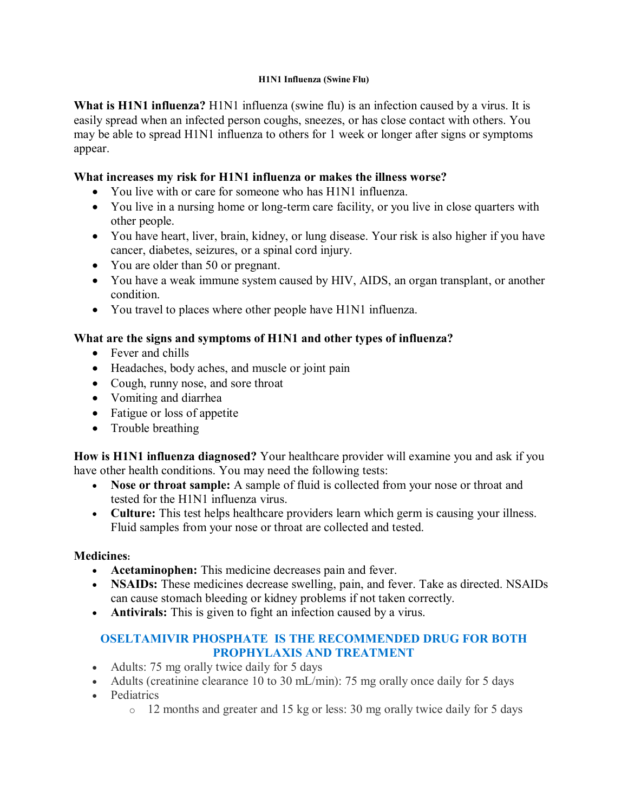#### **H1N1 Influenza (Swine Flu)**

**What is H1N1 influenza?** H1N1 influenza (swine flu) is an infection caused by a virus. It is easily spread when an infected person coughs, sneezes, or has close contact with others. You may be able to spread H1N1 influenza to others for 1 week or longer after signs or symptoms appear.

#### **What increases my risk for H1N1 influenza or makes the illness worse?**

- You live with or care for someone who has H1N1 influenza.
- You live in a nursing home or long-term care facility, or you live in close quarters with other people.
- You have heart, liver, brain, kidney, or lung disease. Your risk is also higher if you have cancer, diabetes, seizures, or a spinal cord injury.
- You are older than 50 or pregnant.
- You have a weak immune system caused by HIV, AIDS, an organ transplant, or another condition.
- You travel to places where other people have H1N1 influenza.

### **What are the signs and symptoms of H1N1 and other types of influenza?**

- Fever and chills
- Headaches, body aches, and muscle or joint pain
- Cough, runny nose, and sore throat
- Vomiting and diarrhea
- Fatigue or loss of appetite
- Trouble breathing

**How is H1N1 influenza diagnosed?** Your healthcare provider will examine you and ask if you have other health conditions. You may need the following tests:

- Nose or throat sample: A sample of fluid is collected from your nose or throat and tested for the H1N1 influenza virus.
- **Culture:** This test helps healthcare providers learn which germ is causing your illness. Fluid samples from your nose or throat are collected and tested.

#### **Medicines:**

- **Acetaminophen:** This medicine decreases pain and fever.
- **NSAIDs:** These medicines decrease swelling, pain, and fever. Take as directed. NSAIDs can cause stomach bleeding or kidney problems if not taken correctly.
- **Antivirals:** This is given to fight an infection caused by a virus.

#### **OSELTAMIVIR PHOSPHATE IS THE RECOMMENDED DRUG FOR BOTH PROPHYLAXIS AND TREATMENT**

- Adults: 75 mg orally twice daily for 5 days
- Adults (creatinine clearance 10 to 30 mL/min): 75 mg orally once daily for 5 days
- Pediatrics
	- o 12 months and greater and 15 kg or less: 30 mg orally twice daily for 5 days